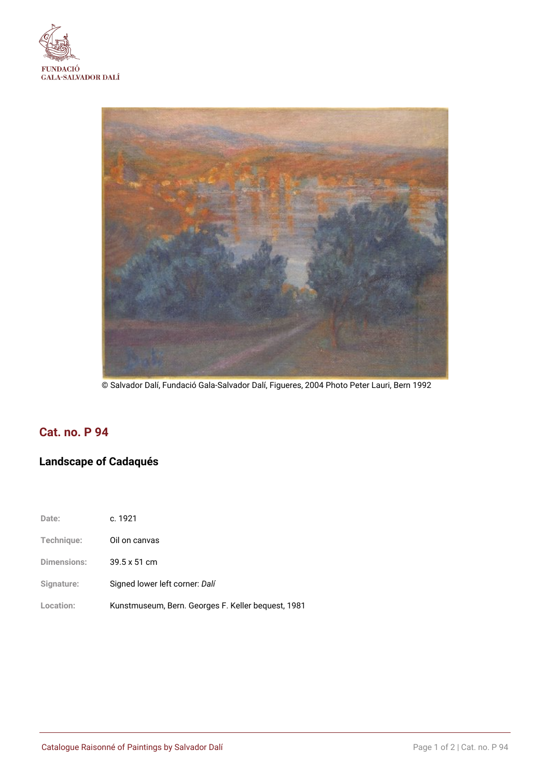



© Salvador Dalí, Fundació Gala-Salvador Dalí, Figueres, 2004 Photo Peter Lauri, Bern 1992

# **Cat. no. P 94**

## **Landscape of Cadaqués**

| Date:              | c. 1921                                            |
|--------------------|----------------------------------------------------|
| Technique:         | Oil on canvas                                      |
| <b>Dimensions:</b> | $39.5 \times 51$ cm                                |
| Signature:         | Signed lower left corner: Dalí                     |
| Location:          | Kunstmuseum, Bern. Georges F. Keller bequest, 1981 |